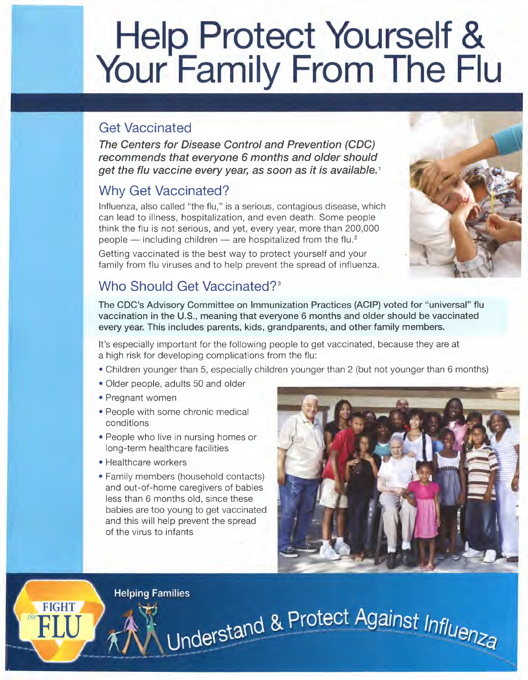# **Help Protect Yourself & Your Family From The Flu**

## Get Vaccinated

*The Centers for Disease Control and Prevention (CDC) recommends that everyone* 6 *months and older should get the flu vaccine every year,* as *soon* as *it is available.* <sup>1</sup>

# Why Get Vaccinated?

Influenza, also called "the flu," is a serious, contagious disease, which can lead to illness, hospitalization, and even death. Some people think the flu is not serious, and yet, every year, more than 200,000 people  $-$  including children  $-$  are hospitalized from the flu.<sup>2</sup>

Getting vaccinated is the best way to protect yourself and your family from flu viruses and to help prevent the spread of influenza.

# Who Should Get Vaccinated?'

The CDC's Advisory Committee on Immunization Practices (ACIP) voted for "universal" flu vaccination in the U.S., meaning that everyone 6 months and older should be vaccinated every year. This includes parents, kids, grandparents, and other family members.

It's especially important for the following people to get vaccinated, because they are at a high risk for developing complications from the flu:

• Children younger than 5, especially children younger than 2 (but not younger than 6 months)

Understand & Protect Against Influenza

- Older people, adults 50 and older
- Pregnant women
- People with some chronic medical conditions
- People who live in nursing homes or long-term healthcare facilities
- Healthcare workers
- Family members (household contacts) and out-of-home caregivers of babies less than 6 months old, since these babies are too young to get vaccinated and this will help prevent the spread of the virus to infants



**Helping Families** 

**FIGHT**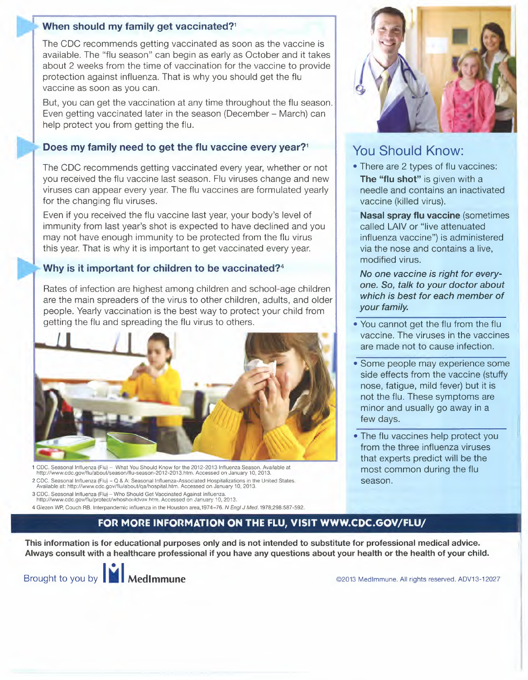#### When should my family get vaccinated?<sup>1</sup>

The CDC recommends getting vaccinated as soon as the vaccine is available. The "flu season" can begin as early as October and it takes about 2 weeks from the time of vaccination for the vaccine to provide protection against influenza.That is why you should get the flu vaccine as soon as you can.

But, you can get the vaccination at any time throughout the flu season. Even getting vaccinated later in the season (December- March) can help protect you from getting the flu.

#### Does my family need to get the flu vaccine every year?<sup>1</sup>

The CDC recommends getting vaccinated every year, whether or not you received the flu vaccine last season. Flu viruses change and new viruses can appear every year.The flu vaccines are formulated yearly for the changing flu viruses.

Even if you received the flu vaccine last year, your body's level of immunity from last year's shot is expected to have declined and you may not have enough immunity to be protected from the flu virus this year.That is why it is important to get vaccinated every year.

#### Why is it important for children to be vaccinated?<sup>4</sup>

Rates of infection are highest among children and school-age children are the main spreaders of the virus to other children, adults, and older people. Yearly vaccination is the best way to protect your child from getting the flu and spreading the flu virus to others.



1 CDC. Seasonal Influenza (Flu) - What You Should Know for the 2012-2013 Influenza Season. Available at http://www.cdc.gov/flu/about/season/flu-season-2012-2013.htm. Accessed on January 10, 2013.

2 CDC. Seasonal Influenza (Flu) - Q & A: Seasonal Influenza-Associated Hospitalizations in the United States. Available at: http://www.cdc.gov/flu/about/qa/hospital.htm. Accessed on January 10, 2013.

3 CDC. Seasonal Influenza (Flu)- Who Should Get Vaccinated Against Influenza. http://www.cdc.gov/flu/protectlwhoshouldvax htm. Accessed on January 10, 2013.

4 Glezen WP, Couch RB. Interpandemic influenza in the Houston area,1974-76. *N Engl J Med.1978;298:587-592.*



#### You Should Know:

• There are 2 types of flu vaccines: The "flu shot" is given with a needle and contains an inactivated vaccine (killed virus).

Nasal spray flu vaccine (sometimes called LAIV or "live attenuated influenza vaccine") is administered via the nose and contains a live, modified virus.

*No one vaccine is right for everyone. So, talk* to *your doctor about which is best for each member* of *your family.*

- You cannot get the flu from the flu vaccine. The viruses in the vaccines are made not to cause infection.
- Some people may experience some side effects from the vaccine (stuffy nose, fatigue, mild fever) but it is not the flu. These symptoms are minor and usually go away in a few days.
- The flu vaccines help protect you from the three influenza viruses that experts predict will be the most common during the flu season.

#### FOR MORE INFORMATION ON THE FLU, VISIT WWW.CDC.GOV/FLU/

This information is for educational purposes only and is not intended to substitute for professional medical advice. Always consult with a healthcare professional if you haveany questions about your health or the health of your child.

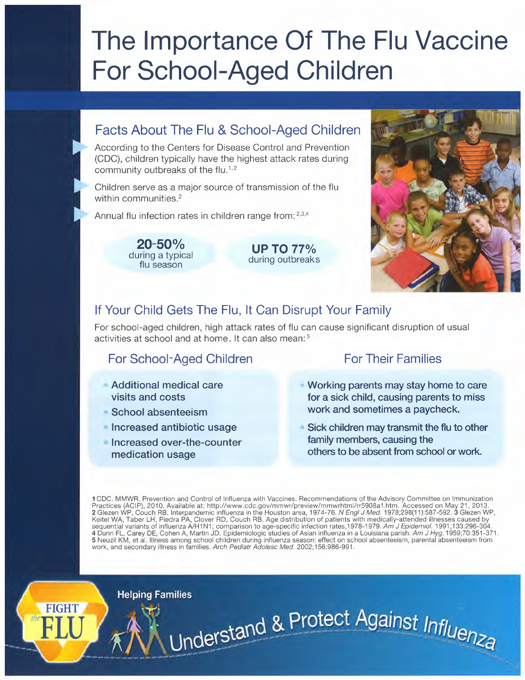# **The Importance Of The Flu Vaccine For School-Aged Children**

#### **Facts About The Flu & School-Aged Children**

According to the Centers for Disease Control and Prevention (CDC), children typically have the highest attack rates during community outbreaks of the flu.<sup>1,2</sup>

Children serve as a major source of transmission of the flu within communities.<sup>2</sup>

Annual flu infection rates in children range from: 2,3,4

**20-50%** during a typical flu season

**UP TO 77%** during outbreaks



#### **If Your Child Gets The Flu, It Can Disrupt Your Family**

For school-aged children, high attack rates of flu can cause significant disruption of usual activities at school and at home. It can also mean:<sup>5</sup>

### **For School-Aged Children For Their Families**

- **• Additional medical care visits and costs**
- **• School absenteeism**

**Helping Families** 

- **• Increased antibiotic usage**
- **• Increased over-the-counter medication usage**

- **• Working parents may stay home to care for a sick child, causing parents to miss work and sometimes a paycheck.**
- **Sick children may transmit the flu to other family members, causing the others to be absent from school or work.**

1CDC. MMWR. Prevention and Control of Influenza with Vaccines. Recommendations of the Advisory Committee on Immunization Practices (ACIP), 2010. Available at: http://www.cdc.gov/mmwr/preview/mmwrhtml/rr5908a1.htm. Accessed on May 21, 2013. 2 Glezen WP, Couch RB. Interpandemic influenza in the Houston area, 1974-76. *N Engl J Med.* 1978;298(11):587-592.3 GlezenWP, Keitel WA, Taber LH, Piedra PA, Clover RD, Couch RB. Age distribution of patients with medically-attended illnesses caused by sequential variants of influenza A/H1N1; comparison to age-specific infection rates,1978-1979. Am J Epidemiol. 1991;133:296-304. 4 Dunn FL, Carey DE,Cohen A, Martin JD. Epidemiologic studies of Asian influenza in a Louisiana parish.*Am J Hyg. 1959;70:351-371.* 5 Neuzil KM, et al. Illness among school children during influenza season: effect on school absenteeism, parental absenteeism from work, and secondary illness in families. *Arch Pediatr Adolesc Med. 2002;156:986-991.*

Understand & Protect Against Influenza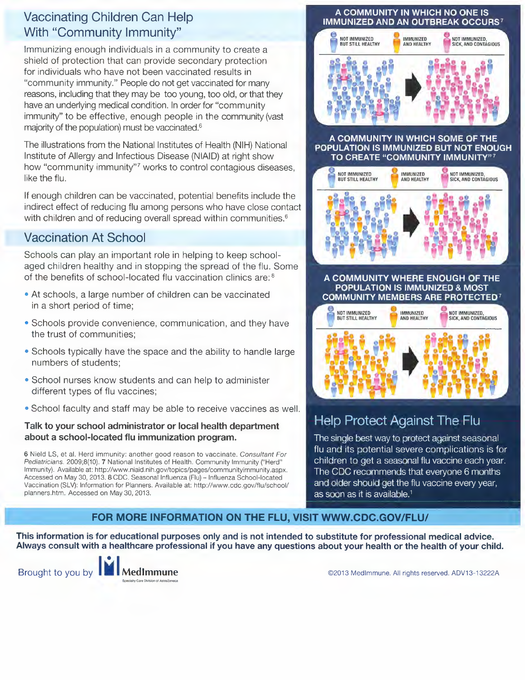#### **Vaccinating Children Can Help With "Community Immunity"**

Immunizing enough individuals in a community to create a shield of protection that can provide secondary protection for individuals who have not been vaccinated results in "community immunity." People do not get vaccinated for many reasons, including that they may be too young, too old, or that they have an underlying medical condition. In order for "community immunity" to be effective, enough people in the community (vast majority of the population) must be vaccinated.<sup>6</sup>

The illustrations from the National Institutes of Health (NIH) National Institute of Allergy and Infectious Disease (NIAID) at right show how "community immunity"? works to control contagious diseases, like the flu.

If enough children can be vaccinated, potential benefits include the indirect effect of reducing flu among persons who have close contact with children and of reducing overall spread within communities.<sup>6</sup>

### **Vaccination At School**

Schools can play an important role in helping to keep schoolaged children healthy and in stopping the spread of the flu. Some of the benefits of school-located flu vaccination clinics are: 8

- At schools, a large number of children can be vaccinated in a short period of time;
- Schools provide convenience, communication, and they have the trust of communities;
- Schools typically have the space and the ability to handle large numbers of students;
- School nurses know students and can help to administer different types of flu vaccines;
- School faculty and staff may be able to receive vaccines as well.

#### **Talk to your school administrator or local health department about a school-located flu immunization program.**

6 Nield LS, et al. Herd immunity: another good reason to vaccinate. *Consultant For Pediatricians.* 2009;8(10).7 National Institutes of Health. Community Immunity ("Herd" Immunity). Available at: http://www.niaid.nih.gov/topics/pages/communityimmunity.aspx. Accessed on May 30, 2013. 8 CDC. Seasonal Influenza (Flu) - Influenza School-located Vaccination (SLV): Information for Planners. Available at: http://www.cdc.gov/flu/school/ planners.htm. Accessed on May 30, 2013.

#### A COMMUNITY IN WHICH NO ONE IS **IMMUNIZED AND AN OUTBREAK OCCURS7**



#### A COMMUNITY IN WHICH SOME OF THE POPULATION IS IMMUNIZED BUT NOT ENOUGH TO CREATE "COMMUNITY IMMUNITY"?







# **Help Protect Against The Flu**

The single best way to protect against seasonal flu and its potential severe complications is for children to get a seasonal flu vaccine each year. The CDC recommends that everyone 6 months and older should get the flu vaccine every year, as soon as it is available.<sup>1</sup>

#### **FOR MORE INFORMATION ON THE FLU, VISIT WWW.CDC.GOV/FLU/**

This information is for educational purposes only and is not intended to substitute for professional medical advice. Always consult with a healthcare professional if you have any questions about your health or the health of your child.



Brought to you by **IFA MedImmune Exercise COME COME COME CONSTRANS CONTROLLER CONTRANSIVE CONTROLLER CONTRANSIVE CONTRANSIVE CONTRACT ADV13-13222A**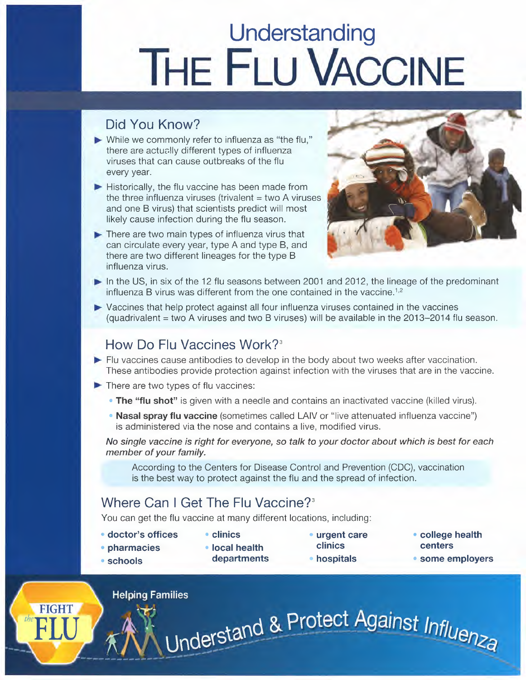# **Understanding THE FLU VACCINE**

# Did You Know?

- $\blacktriangleright$  While we commonly refer to influenza as "the flu," there are actuslly different types of influenza viruses that can cause outbreaks of the flu every year.
- $\blacktriangleright$  Historically, the flu vaccine has been made from the three influenza viruses (trivalent  $=$  two A viruses and one B virus) that scientists predict will most likely cause infection during the flu season.
- $\blacktriangleright$  There are two main types of influenza virus that can circulate every year, type A and type B, and there are two different lineages for the type B influenza virus.



- In the US, in six of the 12 flu seasons between 2001 and 2012, the lineage of the predominant influenza B virus was different from the one contained in the vaccine.<sup>1,2</sup>
- $\blacktriangleright$  Vaccines that help protect against all four influenza viruses contained in the vaccines (quadrivalent = two A viruses and two B viruses) will be available in the 2013-2014 flu season.

### How Do Flu Vaccines Work?<sup>3</sup>

- $\blacktriangleright$  Flu vaccines cause antibodies to develop in the body about two weeks after vaccination. These antibodies provide protection against infection with the viruses that are in the vaccine.
- $\blacktriangleright$  There are two types of flu vaccines:
	- The "flu shot" is given with a needle and contains an inactivated vaccine (killed virus).
	- Nasal spray flu vaccine (sometimes called LAIV or "live attenuated influenza vaccine") is administered via the nose and contains a live, modified virus.

*No single vaccine is right for everyone,*so *talk* to *your doctor about which is best for each member of your family.*

According to the Centers for Disease Control and Prevention (CDC), vaccination is the best way to protect against the flu and the spread of infection.

# Where Can I Get The Flu Vaccine?'

You can get the flu vaccine at many different locations, including:

• doctor's offices

- urgent care
- college health centers

• pharmacies • schools

FIGHT

• local health departments

• clinics

- clinics
- hospitals

Understand & Protect Against Influenza

- 
- some employers

**Helping Families**